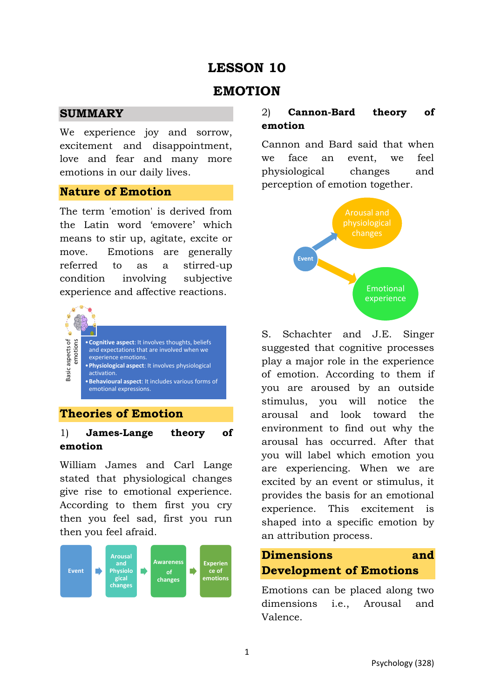## **LESSON 10**

## **EMOTION**

### **SUMMARY**

We experience joy and sorrow, excitement and disappointment, love and fear and many more emotions in our daily lives.

### **Nature of Emotion**

The term 'emotion' is derived from the Latin word 'emovere' which means to stir up, agitate, excite or move. Emotions are generally referred to as a stirred-up condition involving subjective experience and affective reactions.



## **Theories of Emotion**

## 1) **James-Lange theory of emotion**

William James and Carl Lange stated that physiological changes give rise to emotional experience. According to them first you cry then you feel sad, first you run then you feel afraid.



## 2) **Cannon-Bard theory of emotion**

Cannon and Bard said that when we face an event, we feel physiological changes and perception of emotion together.



S. Schachter and J.E. Singer suggested that cognitive processes play a major role in the experience of emotion. According to them if you are aroused by an outside stimulus, you will notice the arousal and look toward the environment to find out why the arousal has occurred. After that you will label which emotion you are experiencing. When we are excited by an event or stimulus, it provides the basis for an emotional experience. This excitement is shaped into a specific emotion by an attribution process.

# **Dimensions and Development of Emotions**

Emotions can be placed along two dimensions i.e., Arousal and Valence.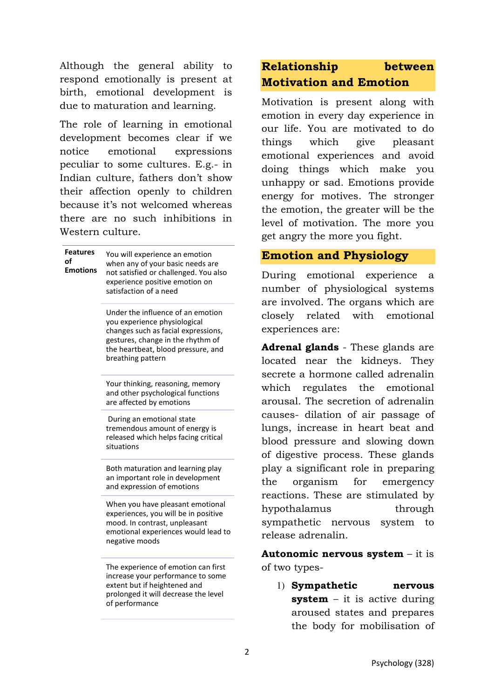Although the general ability to respond emotionally is present at birth, emotional development is due to maturation and learning.

The role of learning in emotional development becomes clear if we notice emotional expressions peculiar to some cultures. E.g.- in Indian culture, fathers don't show their affection openly to children because it's not welcomed whereas there are no such inhibitions in Western culture.

| <b>Features</b><br>nf<br><b>Emotions</b> | You will experience an emotion<br>when any of your basic needs are<br>not satisfied or challenged. You also<br>experience positive emotion on<br>satisfaction of a need                                  |
|------------------------------------------|----------------------------------------------------------------------------------------------------------------------------------------------------------------------------------------------------------|
|                                          | Under the influence of an emotion<br>you experience physiological<br>changes such as facial expressions,<br>gestures, change in the rhythm of<br>the heartbeat, blood pressure, and<br>breathing pattern |
|                                          | Your thinking, reasoning, memory<br>and other psychological functions<br>are affected by emotions                                                                                                        |
|                                          | During an emotional state<br>tremendous amount of energy is<br>released which helps facing critical<br>situations                                                                                        |
|                                          | Both maturation and learning play<br>an important role in development<br>and expression of emotions                                                                                                      |
|                                          | When you have pleasant emotional<br>experiences, you will be in positive<br>mood. In contrast, unpleasant<br>emotional experiences would lead to<br>negative moods                                       |
|                                          | The experience of emotion can first<br>increase your performance to some<br>extent but if heightened and<br>prolonged it will decrease the level<br>of performance                                       |

## **Relationship between Motivation and Emotion**

Motivation is present along with emotion in every day experience in our life. You are motivated to do things which give pleasant emotional experiences and avoid doing things which make you unhappy or sad. Emotions provide energy for motives. The stronger the emotion, the greater will be the level of motivation. The more you get angry the more you fight.

## **Emotion and Physiology**

During emotional experience a number of physiological systems are involved. The organs which are closely related with emotional experiences are:

**Adrenal glands** - These glands are located near the kidneys. They secrete a hormone called adrenalin which regulates the emotional arousal. The secretion of adrenalin causes- dilation of air passage of lungs, increase in heart beat and blood pressure and slowing down of digestive process. These glands play a significant role in preparing the organism for emergency reactions. These are stimulated by hypothalamus through sympathetic nervous system to release adrenalin.

**Autonomic nervous system** – it is of two types-

1) **Sympathetic nervous system** – it is active during aroused states and prepares the body for mobilisation of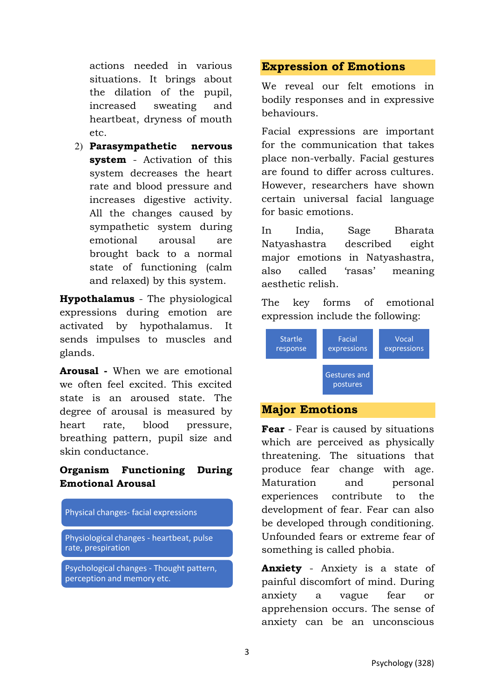actions needed in various situations. It brings about the dilation of the pupil, increased sweating and heartbeat, dryness of mouth etc.

2) **Parasympathetic nervous system** - Activation of this system decreases the heart rate and blood pressure and increases digestive activity. All the changes caused by sympathetic system during emotional arousal are brought back to a normal state of functioning (calm and relaxed) by this system.

**Hypothalamus** - The physiological expressions during emotion are activated by hypothalamus. It sends impulses to muscles and glands.

**Arousal -** When we are emotional we often feel excited. This excited state is an aroused state. The degree of arousal is measured by heart rate, blood pressure, breathing pattern, pupil size and skin conductance.

### **Organism Functioning During Emotional Arousal**

#### Physical changes- facial expressions

Physiological changes - heartbeat, pulse rate, prespiration

Psychological changes - Thought pattern, perception and memory etc.

#### **Expression of Emotions**

We reveal our felt emotions in bodily responses and in expressive behaviours.

Facial expressions are important for the communication that takes place non-verbally. Facial gestures are found to differ across cultures. However, researchers have shown certain universal facial language for basic emotions.

In India, Sage Bharata Natyashastra described eight major emotions in Natyashastra, also called 'rasas' meaning aesthetic relish.

The key forms of emotional expression include the following:



#### **Major Emotions**

**Fear** - Fear is caused by situations which are perceived as physically threatening. The situations that produce fear change with age. Maturation and personal experiences contribute to the development of fear. Fear can also be developed through conditioning. Unfounded fears or extreme fear of something is called phobia.

**Anxiety** - Anxiety is a state of painful discomfort of mind. During anxiety a vague fear or apprehension occurs. The sense of anxiety can be an unconscious